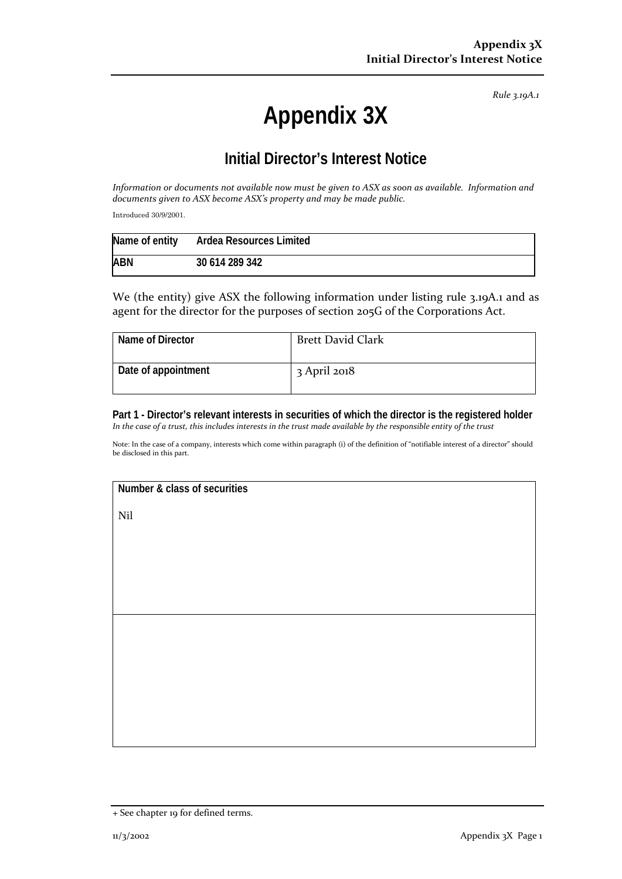*Rule 3.19A.1*

## **Appendix 3X**

## **Initial Director's Interest Notice**

*Information or documents not available now must be given to ASX as soon as available. Information and documents given to ASX become ASX's property and may be made public.*

Introduced 30/9/2001.

|            | Name of entity Ardea Resources Limited |
|------------|----------------------------------------|
| <b>ABN</b> | 30 614 289 342                         |

We (the entity) give ASX the following information under listing rule 3.19A.1 and as agent for the director for the purposes of section 205G of the Corporations Act.

| Name of Director    | <b>Brett David Clark</b> |
|---------------------|--------------------------|
| Date of appointment | $3$ April 2018           |

**Part 1 - Director's relevant interests in securities of which the director is the registered holder** *In the case of a trust, this includes interests in the trust made available by the responsible entity of the trust*

Note: In the case of a company, interests which come within paragraph (i) of the definition of "notifiable interest of a director" should be disclosed in this part.

**Number & class of securities**

Nil

<sup>+</sup> See chapter 19 for defined terms.